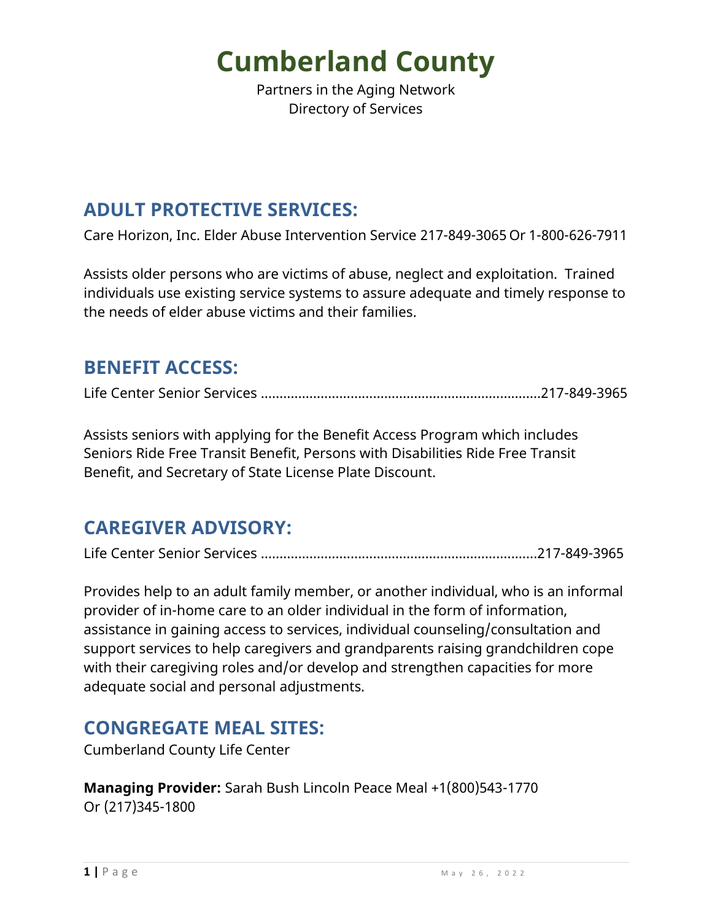Partners in the Aging Network Directory of Services

#### **ADULT PROTECTIVE SERVICES:**

Care Horizon, Inc. Elder Abuse Intervention Service 217-849-3065 Or 1-800-626-7911

Assists older persons who are victims of abuse, neglect and exploitation. Trained individuals use existing service systems to assure adequate and timely response to the needs of elder abuse victims and their families.

#### **BENEFIT ACCESS:**

Life Center Senior Services ………………………...….…………………………………..217-849-3965

Assists seniors with applying for the Benefit Access Program which includes Seniors Ride Free Transit Benefit, Persons with Disabilities Ride Free Transit Benefit, and Secretary of State License Plate Discount.

#### **CAREGIVER ADVISORY:**

Life Center Senior Services ………………………...….………………………...…..…..217-849-3965

Provides help to an adult family member, or another individual, who is an informal provider of in-home care to an older individual in the form of information, assistance in gaining access to services, individual counseling/consultation and support services to help caregivers and grandparents raising grandchildren cope with their caregiving roles and/or develop and strengthen capacities for more adequate social and personal adjustments.

#### **CONGREGATE MEAL SITES:**

Cumberland County Life Center

**Managing Provider:** Sarah Bush Lincoln Peace Meal +1(800)543-1770 Or (217)345-1800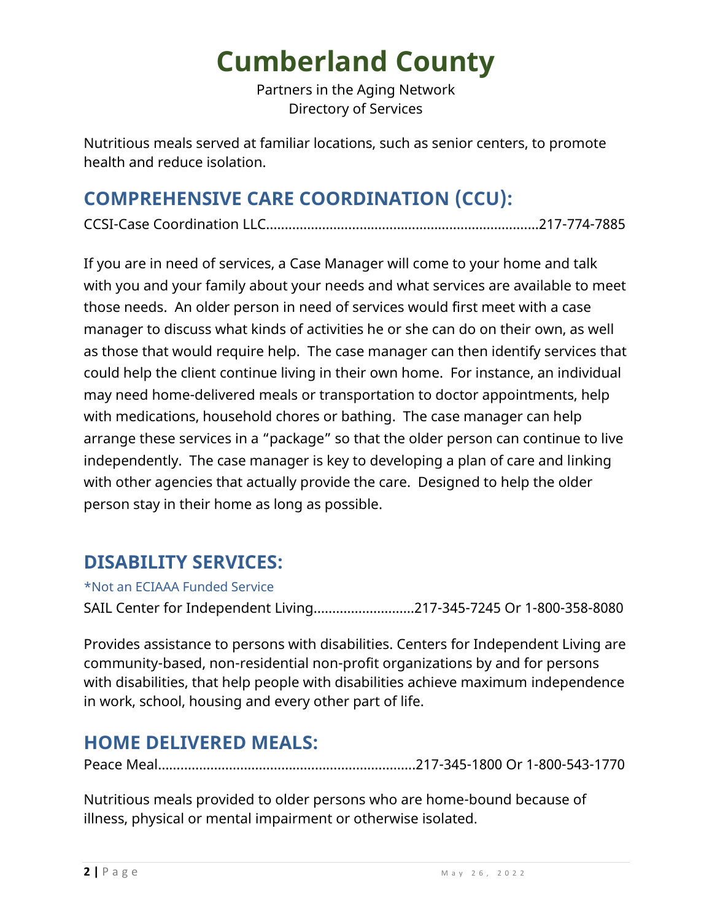Partners in the Aging Network Directory of Services

Nutritious meals served at familiar locations, such as senior centers, to promote health and reduce isolation.

### **COMPREHENSIVE CARE COORDINATION (CCU):**

CCSI-Case Coordination LLC…...………….………………………………………...…...217-774-7885

If you are in need of services, a Case Manager will come to your home and talk with you and your family about your needs and what services are available to meet those needs. An older person in need of services would first meet with a case manager to discuss what kinds of activities he or she can do on their own, as well as those that would require help. The case manager can then identify services that could help the client continue living in their own home. For instance, an individual may need home-delivered meals or transportation to doctor appointments, help with medications, household chores or bathing. The case manager can help arrange these services in a "package" so that the older person can continue to live independently. The case manager is key to developing a plan of care and linking with other agencies that actually provide the care. Designed to help the older person stay in their home as long as possible.

#### **DISABILITY SERVICES:**

\*Not an ECIAAA Funded Service

SAIL Center for Independent Living………………………217-345-7245 Or 1-800-358-8080

Provides assistance to persons with disabilities. Centers for Independent Living are community-based, non-residential non-profit organizations by and for persons with disabilities, that help people with disabilities achieve maximum independence in work, school, housing and every other part of life.

### **HOME DELIVERED MEALS:**

Peace Meal…………………………………………………………...217-345-1800 Or 1-800-543-1770

Nutritious meals provided to older persons who are home-bound because of illness, physical or mental impairment or otherwise isolated.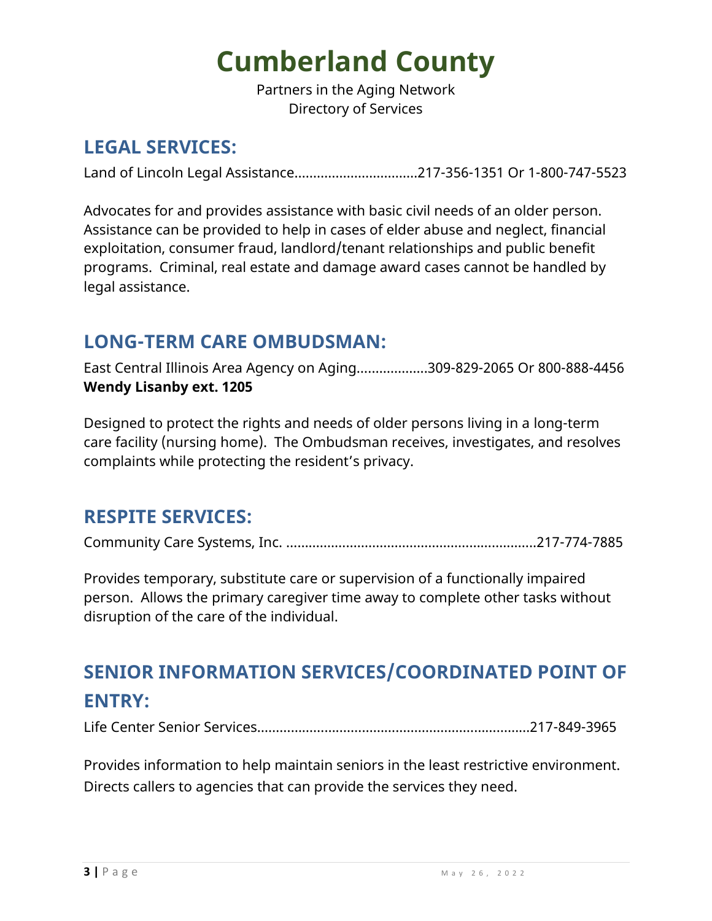Partners in the Aging Network Directory of Services

#### **LEGAL SERVICES:**

Land of Lincoln Legal Assistance……………………………217-356-1351 Or 1-800-747-5523

Advocates for and provides assistance with basic civil needs of an older person. Assistance can be provided to help in cases of elder abuse and neglect, financial exploitation, consumer fraud, landlord/tenant relationships and public benefit programs. Criminal, real estate and damage award cases cannot be handled by legal assistance.

#### **LONG-TERM CARE OMBUDSMAN:**

East Central Illinois Area Agency on Aging….…………...309-829-2065 Or 800-888-4456 **Wendy Lisanby ext. 1205** 

Designed to protect the rights and needs of older persons living in a long-term care facility (nursing home). The Ombudsman receives, investigates, and resolves complaints while protecting the resident's privacy.

#### **RESPITE SERVICES:**

Community Care Systems, Inc. ………….………………………………………...…...217-774-7885

Provides temporary, substitute care or supervision of a functionally impaired person. Allows the primary caregiver time away to complete other tasks without disruption of the care of the individual.

### **SENIOR INFORMATION SERVICES/COORDINATED POINT OF ENTRY:**

Life Center Senior Services………………….……………………………………………217-849-3965

Provides information to help maintain seniors in the least restrictive environment. Directs callers to agencies that can provide the services they need.